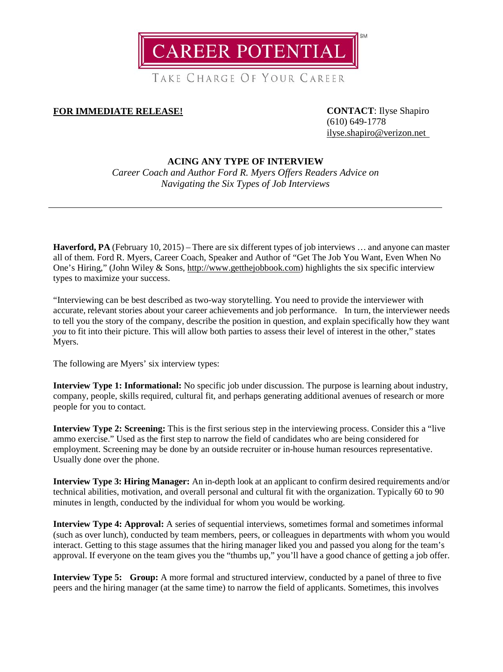CAREER POTENTIAL

TAKE CHARGE OF YOUR CAREER

# **FOR IMMEDIATE RELEASE! CONTACT**: Ilyse Shapiro

(610) 649-1778 [ilyse.shapiro@verizon.net](mailto:ilyse.shapiro@verizon.net)

# **ACING ANY TYPE OF INTERVIEW**

*Career Coach and Author Ford R. Myers Offers Readers Advice on Navigating the Six Types of Job Interviews*

**Haverford, PA** (February 10, 2015) – There are six different types of job interviews … and anyone can master all of them. Ford R. Myers, Career Coach, Speaker and Author of "Get The Job You Want, Even When No One's Hiring," (John Wiley & Sons, [http://www.getthejobbook.com\)](http://www.getthejobbook.com/) highlights the six specific interview types to maximize your success.

"Interviewing can be best described as two-way storytelling. You need to provide the interviewer with accurate, relevant stories about your career achievements and job performance. In turn, the interviewer needs to tell you the story of the company, describe the position in question, and explain specifically how they want *you* to fit into their picture. This will allow both parties to assess their level of interest in the other," states Myers.

The following are Myers' six interview types:

**Interview Type 1: Informational:** No specific job under discussion. The purpose is learning about industry, company, people, skills required, cultural fit, and perhaps generating additional avenues of research or more people for you to contact.

**Interview Type 2: Screening:** This is the first serious step in the interviewing process. Consider this a "live ammo exercise." Used as the first step to narrow the field of candidates who are being considered for employment. Screening may be done by an outside recruiter or in-house human resources representative. Usually done over the phone.

**Interview Type 3: Hiring Manager:** An in-depth look at an applicant to confirm desired requirements and/or technical abilities, motivation, and overall personal and cultural fit with the organization. Typically 60 to 90 minutes in length, conducted by the individual for whom you would be working.

**Interview Type 4: Approval:** A series of sequential interviews, sometimes formal and sometimes informal (such as over lunch), conducted by team members, peers, or colleagues in departments with whom you would interact. Getting to this stage assumes that the hiring manager liked you and passed you along for the team's approval. If everyone on the team gives you the "thumbs up," you'll have a good chance of getting a job offer.

**Interview Type 5: Group:** A more formal and structured interview, conducted by a panel of three to five peers and the hiring manager (at the same time) to narrow the field of applicants. Sometimes, this involves